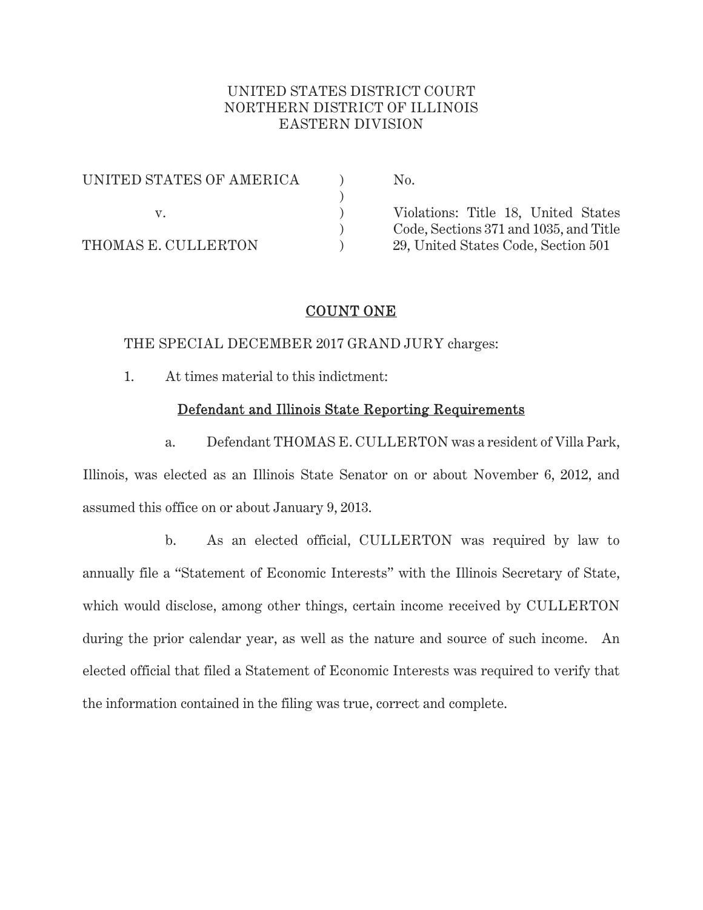# UNITED STATES DISTRICT COURT NORTHERN DISTRICT OF ILLINOIS EASTERN DIVISION

| UNITED STATES OF AMERICA | No.                                    |
|--------------------------|----------------------------------------|
|                          |                                        |
|                          | Violations: Title 18, United States    |
|                          | Code, Sections 371 and 1035, and Title |
| THOMAS E. CULLERTON      | 29, United States Code, Section 501    |

# COUNT ONE

THE SPECIAL DECEMBER 2017 GRAND JURY charges:

1. At times material to this indictment:

## Defendant and Illinois State Reporting Requirements

 a. Defendant THOMAS E. CULLERTON was a resident of Villa Park, Illinois, was elected as an Illinois State Senator on or about November 6, 2012, and assumed this office on or about January 9, 2013.

 b. As an elected official, CULLERTON was required by law to annually file a "Statement of Economic Interests" with the Illinois Secretary of State, which would disclose, among other things, certain income received by CULLERTON during the prior calendar year, as well as the nature and source of such income. An elected official that filed a Statement of Economic Interests was required to verify that the information contained in the filing was true, correct and complete.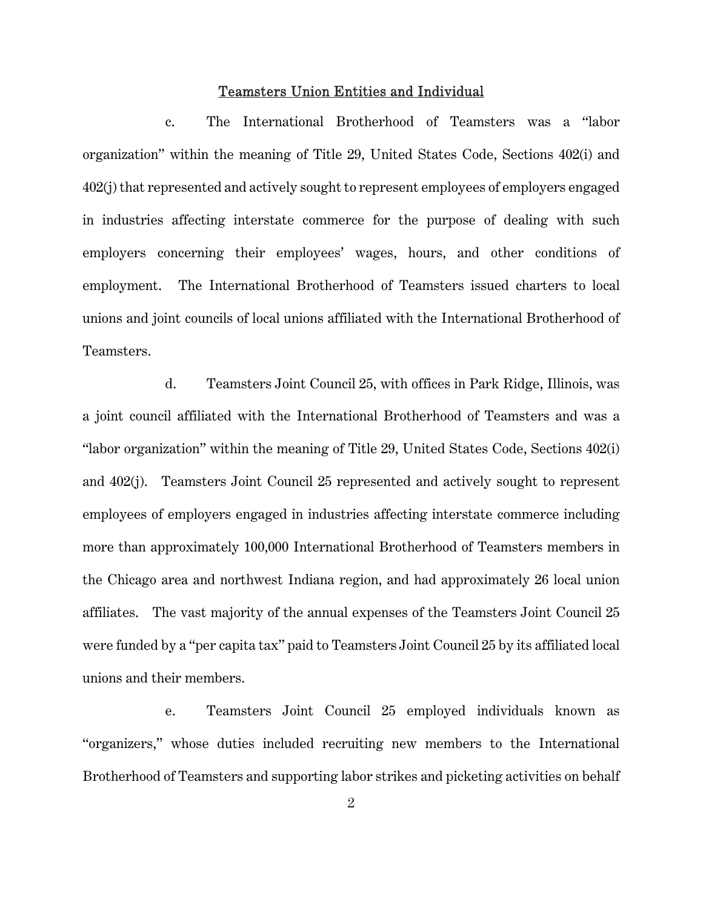## Teamsters Union Entities and Individual

c. The International Brotherhood of Teamsters was a "labor organization" within the meaning of Title 29, United States Code, Sections 402(i) and 402(j) that represented and actively sought to represent employees of employers engaged in industries affecting interstate commerce for the purpose of dealing with such employers concerning their employees' wages, hours, and other conditions of employment. The International Brotherhood of Teamsters issued charters to local unions and joint councils of local unions affiliated with the International Brotherhood of Teamsters.

d. Teamsters Joint Council 25, with offices in Park Ridge, Illinois, was a joint council affiliated with the International Brotherhood of Teamsters and was a "labor organization" within the meaning of Title 29, United States Code, Sections 402(i) and 402(j). Teamsters Joint Council 25 represented and actively sought to represent employees of employers engaged in industries affecting interstate commerce including more than approximately 100,000 International Brotherhood of Teamsters members in the Chicago area and northwest Indiana region, and had approximately 26 local union affiliates. The vast majority of the annual expenses of the Teamsters Joint Council 25 were funded by a "per capita tax" paid to Teamsters Joint Council 25 by its affiliated local unions and their members.

e. Teamsters Joint Council 25 employed individuals known as "organizers," whose duties included recruiting new members to the International Brotherhood of Teamsters and supporting labor strikes and picketing activities on behalf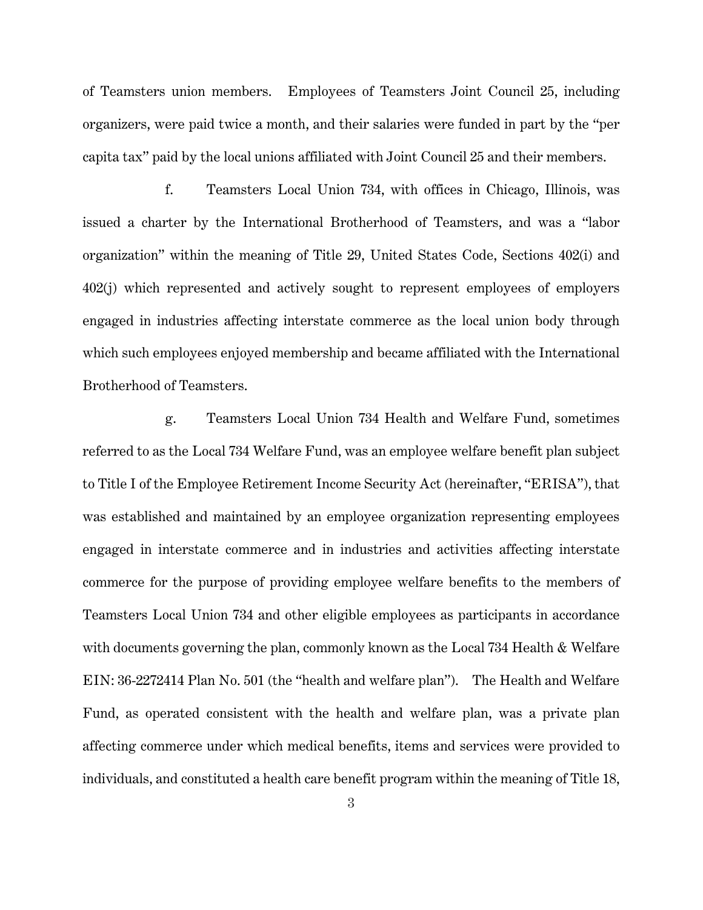of Teamsters union members. Employees of Teamsters Joint Council 25, including organizers, were paid twice a month, and their salaries were funded in part by the "per capita tax" paid by the local unions affiliated with Joint Council 25 and their members.

f. Teamsters Local Union 734, with offices in Chicago, Illinois, was issued a charter by the International Brotherhood of Teamsters, and was a "labor organization" within the meaning of Title 29, United States Code, Sections 402(i) and 402(j) which represented and actively sought to represent employees of employers engaged in industries affecting interstate commerce as the local union body through which such employees enjoyed membership and became affiliated with the International Brotherhood of Teamsters.

g. Teamsters Local Union 734 Health and Welfare Fund, sometimes referred to as the Local 734 Welfare Fund, was an employee welfare benefit plan subject to Title I of the Employee Retirement Income Security Act (hereinafter, "ERISA"), that was established and maintained by an employee organization representing employees engaged in interstate commerce and in industries and activities affecting interstate commerce for the purpose of providing employee welfare benefits to the members of Teamsters Local Union 734 and other eligible employees as participants in accordance with documents governing the plan, commonly known as the Local 734 Health & Welfare EIN: 36-2272414 Plan No. 501 (the "health and welfare plan"). The Health and Welfare Fund, as operated consistent with the health and welfare plan, was a private plan affecting commerce under which medical benefits, items and services were provided to individuals, and constituted a health care benefit program within the meaning of Title 18,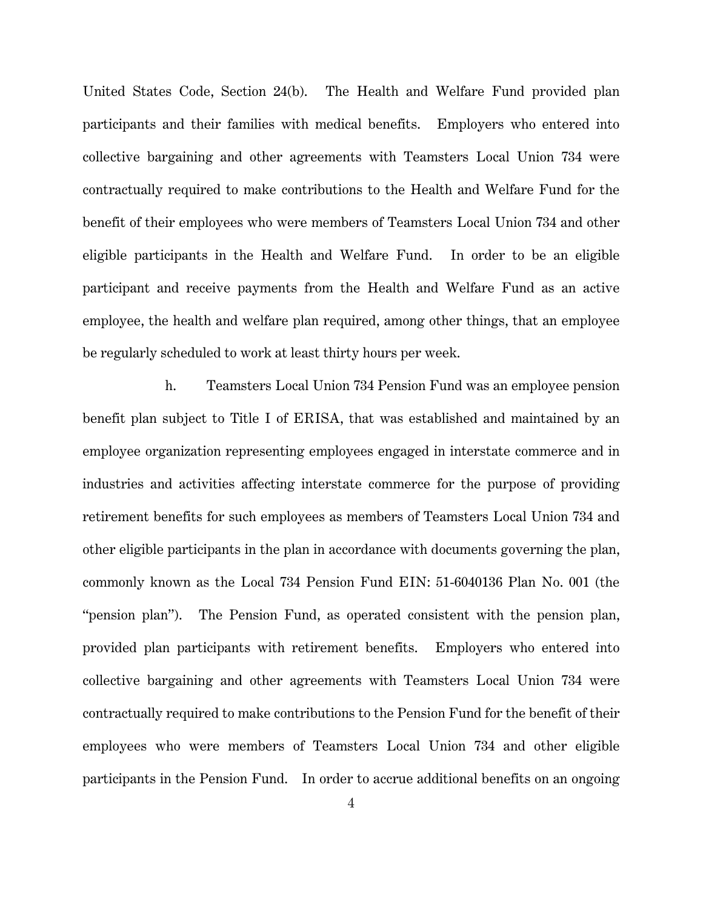United States Code, Section 24(b). The Health and Welfare Fund provided plan participants and their families with medical benefits. Employers who entered into collective bargaining and other agreements with Teamsters Local Union 734 were contractually required to make contributions to the Health and Welfare Fund for the benefit of their employees who were members of Teamsters Local Union 734 and other eligible participants in the Health and Welfare Fund. In order to be an eligible participant and receive payments from the Health and Welfare Fund as an active employee, the health and welfare plan required, among other things, that an employee be regularly scheduled to work at least thirty hours per week.

h. Teamsters Local Union 734 Pension Fund was an employee pension benefit plan subject to Title I of ERISA, that was established and maintained by an employee organization representing employees engaged in interstate commerce and in industries and activities affecting interstate commerce for the purpose of providing retirement benefits for such employees as members of Teamsters Local Union 734 and other eligible participants in the plan in accordance with documents governing the plan, commonly known as the Local 734 Pension Fund EIN: 51-6040136 Plan No. 001 (the "pension plan"). The Pension Fund, as operated consistent with the pension plan, provided plan participants with retirement benefits. Employers who entered into collective bargaining and other agreements with Teamsters Local Union 734 were contractually required to make contributions to the Pension Fund for the benefit of their employees who were members of Teamsters Local Union 734 and other eligible participants in the Pension Fund. In order to accrue additional benefits on an ongoing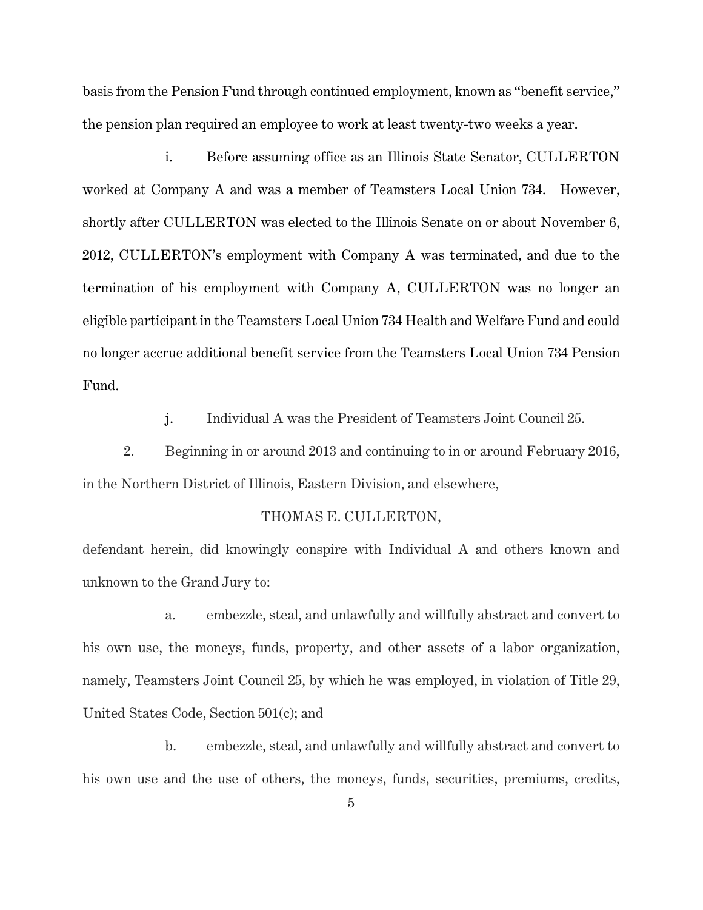basis from the Pension Fund through continued employment, known as "benefit service," the pension plan required an employee to work at least twenty-two weeks a year.

i. Before assuming office as an Illinois State Senator, CULLERTON worked at Company A and was a member of Teamsters Local Union 734. However, shortly after CULLERTON was elected to the Illinois Senate on or about November 6, 2012, CULLERTON's employment with Company A was terminated, and due to the termination of his employment with Company A, CULLERTON was no longer an eligible participant in the Teamsters Local Union 734 Health and Welfare Fund and could no longer accrue additional benefit service from the Teamsters Local Union 734 Pension Fund.

j. Individual A was the President of Teamsters Joint Council 25.

2. Beginning in or around 2013 and continuing to in or around February 2016, in the Northern District of Illinois, Eastern Division, and elsewhere,

## THOMAS E. CULLERTON,

defendant herein, did knowingly conspire with Individual A and others known and unknown to the Grand Jury to:

 a. embezzle, steal, and unlawfully and willfully abstract and convert to his own use, the moneys, funds, property, and other assets of a labor organization, namely, Teamsters Joint Council 25, by which he was employed, in violation of Title 29, United States Code, Section 501(c); and

 b. embezzle, steal, and unlawfully and willfully abstract and convert to his own use and the use of others, the moneys, funds, securities, premiums, credits,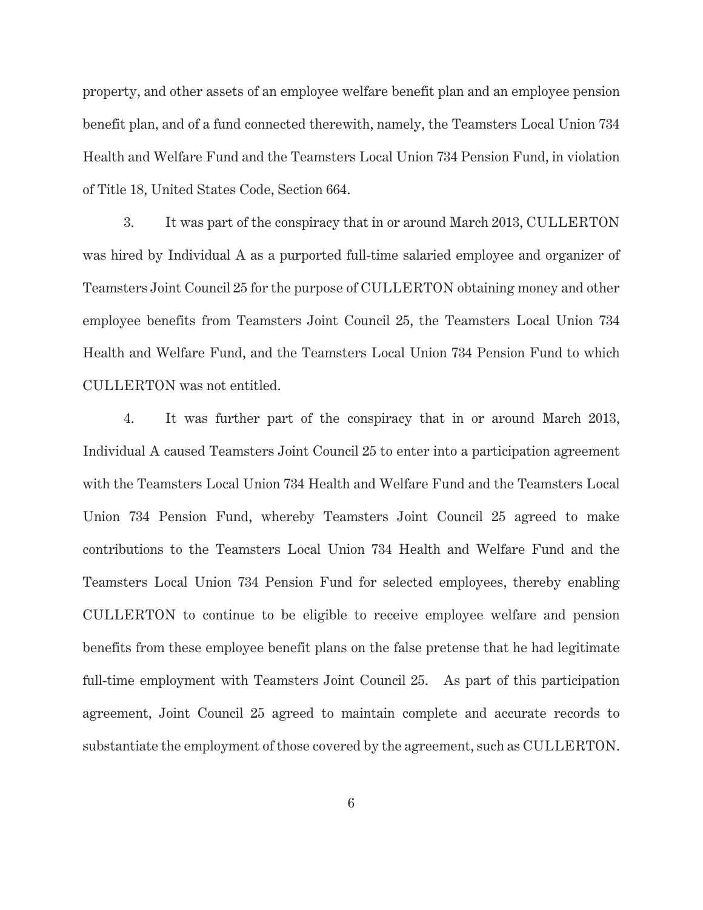property, and other assets of an employee welfare benefit plan and an employee pension benefit plan, and of a fund connected therewith, namely, the Teamsters Local Union 734 Health and Welfare Fund and the Teamsters Local Union 734 Pension Fund, in violation of Title 18, United States Code, Section 664.

3. It was part of the conspiracy that in or around March 2013, CULLERTON was hired by Individual A as a purported full-time salaried employee and organizer of Teamsters Joint Council 25 for the purpose of CULLERTON obtaining money and other employee benefits from Teamsters Joint Council 25, the Teamsters Local Union 734 Health and Welfare Fund, and the Teamsters Local Union 734 Pension Fund to which CULLERTON was not entitled.

4. It was further part of the conspiracy that in or around March 2013, Individual A caused Teamsters Joint Council 25 to enter into a participation agreement with the Teamsters Local Union 734 Health and Welfare Fund and the Teamsters Local Union 734 Pension Fund, whereby Teamsters Joint Council 25 agreed to make contributions to the Teamsters Local Union 734 Health and Welfare Fund and the Teamsters Local Union 734 Pension Fund for selected employees, thereby enabling CULLERTON to continue to be eligible to receive employee welfare and pension benefits from these employee benefit plans on the false pretense that he had legitimate full-time employment with Teamsters Joint Council 25. As part of this participation agreement, Joint Council 25 agreed to maintain complete and accurate records to substantiate the employment of those covered by the agreement, such as CULLERTON.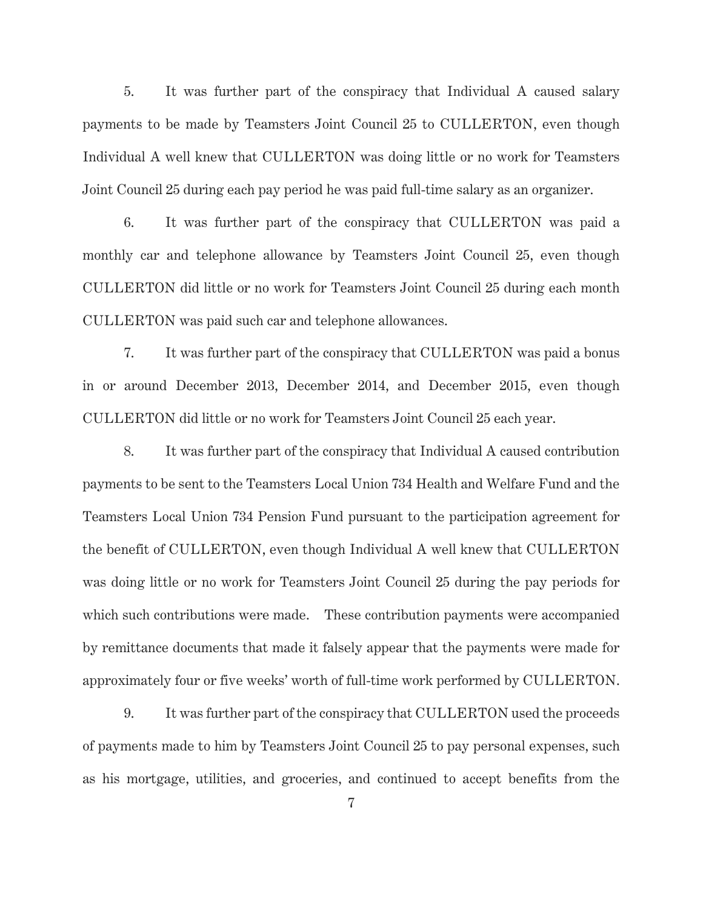5. It was further part of the conspiracy that Individual A caused salary payments to be made by Teamsters Joint Council 25 to CULLERTON, even though Individual A well knew that CULLERTON was doing little or no work for Teamsters Joint Council 25 during each pay period he was paid full-time salary as an organizer.

6. It was further part of the conspiracy that CULLERTON was paid a monthly car and telephone allowance by Teamsters Joint Council 25, even though CULLERTON did little or no work for Teamsters Joint Council 25 during each month CULLERTON was paid such car and telephone allowances.

7. It was further part of the conspiracy that CULLERTON was paid a bonus in or around December 2013, December 2014, and December 2015, even though CULLERTON did little or no work for Teamsters Joint Council 25 each year.

8. It was further part of the conspiracy that Individual A caused contribution payments to be sent to the Teamsters Local Union 734 Health and Welfare Fund and the Teamsters Local Union 734 Pension Fund pursuant to the participation agreement for the benefit of CULLERTON, even though Individual A well knew that CULLERTON was doing little or no work for Teamsters Joint Council 25 during the pay periods for which such contributions were made. These contribution payments were accompanied by remittance documents that made it falsely appear that the payments were made for approximately four or five weeks' worth of full-time work performed by CULLERTON.

9. It was further part of the conspiracy that CULLERTON used the proceeds of payments made to him by Teamsters Joint Council 25 to pay personal expenses, such as his mortgage, utilities, and groceries, and continued to accept benefits from the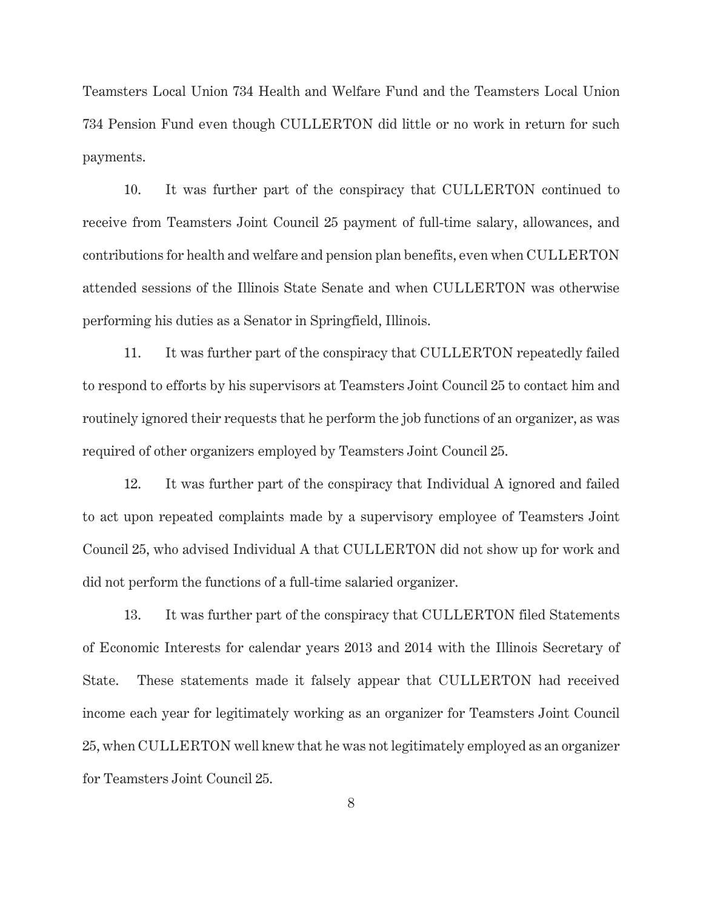Teamsters Local Union 734 Health and Welfare Fund and the Teamsters Local Union 734 Pension Fund even though CULLERTON did little or no work in return for such payments.

10. It was further part of the conspiracy that CULLERTON continued to receive from Teamsters Joint Council 25 payment of full-time salary, allowances, and contributions for health and welfare and pension plan benefits, even when CULLERTON attended sessions of the Illinois State Senate and when CULLERTON was otherwise performing his duties as a Senator in Springfield, Illinois.

11. It was further part of the conspiracy that CULLERTON repeatedly failed to respond to efforts by his supervisors at Teamsters Joint Council 25 to contact him and routinely ignored their requests that he perform the job functions of an organizer, as was required of other organizers employed by Teamsters Joint Council 25.

12. It was further part of the conspiracy that Individual A ignored and failed to act upon repeated complaints made by a supervisory employee of Teamsters Joint Council 25, who advised Individual A that CULLERTON did not show up for work and did not perform the functions of a full-time salaried organizer.

13. It was further part of the conspiracy that CULLERTON filed Statements of Economic Interests for calendar years 2013 and 2014 with the Illinois Secretary of State. These statements made it falsely appear that CULLERTON had received income each year for legitimately working as an organizer for Teamsters Joint Council 25, when CULLERTON well knew that he was not legitimately employed as an organizer for Teamsters Joint Council 25.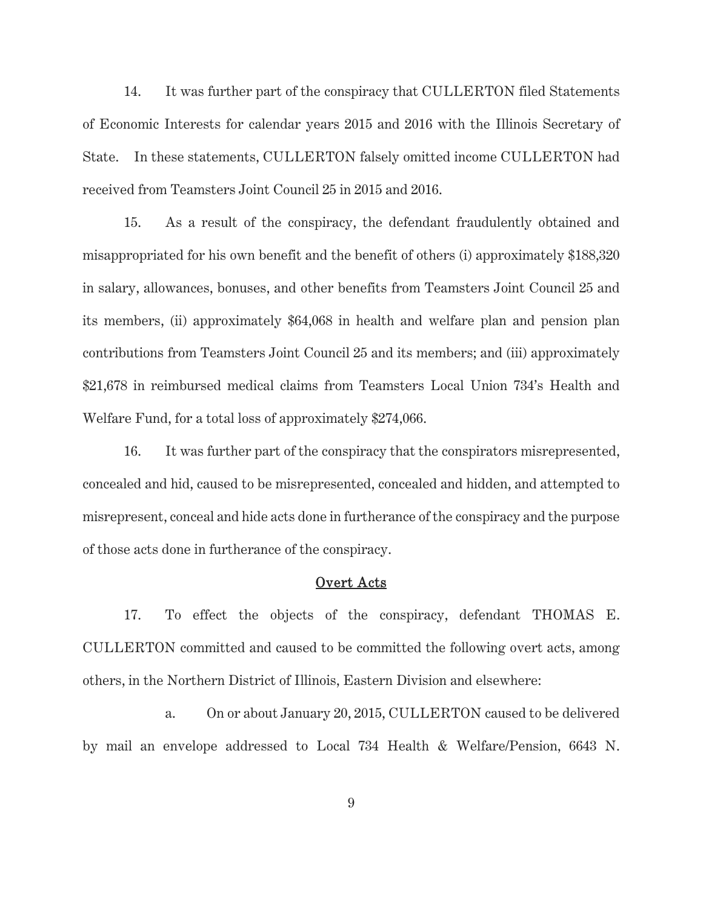14. It was further part of the conspiracy that CULLERTON filed Statements of Economic Interests for calendar years 2015 and 2016 with the Illinois Secretary of State. In these statements, CULLERTON falsely omitted income CULLERTON had received from Teamsters Joint Council 25 in 2015 and 2016.

15. As a result of the conspiracy, the defendant fraudulently obtained and misappropriated for his own benefit and the benefit of others (i) approximately \$188,320 in salary, allowances, bonuses, and other benefits from Teamsters Joint Council 25 and its members, (ii) approximately \$64,068 in health and welfare plan and pension plan contributions from Teamsters Joint Council 25 and its members; and (iii) approximately \$21,678 in reimbursed medical claims from Teamsters Local Union 734's Health and Welfare Fund, for a total loss of approximately \$274,066.

16. It was further part of the conspiracy that the conspirators misrepresented, concealed and hid, caused to be misrepresented, concealed and hidden, and attempted to misrepresent, conceal and hide acts done in furtherance of the conspiracy and the purpose of those acts done in furtherance of the conspiracy.

### Overt Acts

17. To effect the objects of the conspiracy, defendant THOMAS E. CULLERTON committed and caused to be committed the following overt acts, among others, in the Northern District of Illinois, Eastern Division and elsewhere:

 a. On or about January 20, 2015, CULLERTON caused to be delivered by mail an envelope addressed to Local 734 Health & Welfare/Pension, 6643 N.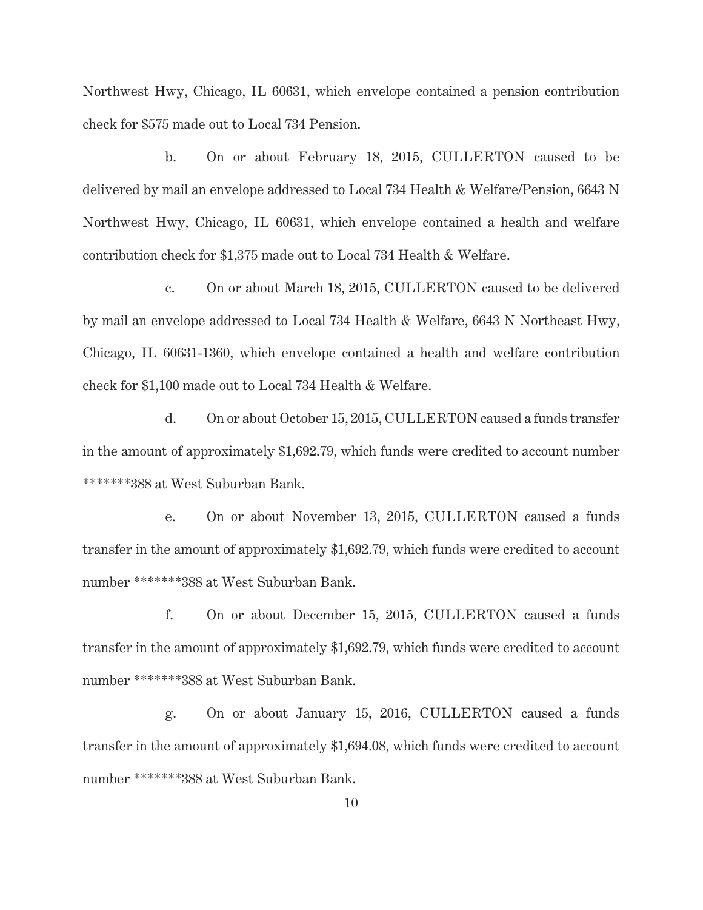Northwest Hwy, Chicago, IL 60631, which envelope contained a pension contribution check for \$575 made out to Local 734 Pension.

 b. On or about February 18, 2015, CULLERTON caused to be delivered by mail an envelope addressed to Local 734 Health & Welfare/Pension, 6643 N Northwest Hwy, Chicago, IL 60631, which envelope contained a health and welfare contribution check for \$1,375 made out to Local 734 Health & Welfare.

 c. On or about March 18, 2015, CULLERTON caused to be delivered by mail an envelope addressed to Local 734 Health & Welfare, 6643 N Northeast Hwy, Chicago, IL 60631-1360, which envelope contained a health and welfare contribution check for \$1,100 made out to Local 734 Health & Welfare.

 d. On or about October 15, 2015, CULLERTON caused a funds transfer in the amount of approximately \$1,692.79, which funds were credited to account number \*\*\*\*\*\*\*388 at West Suburban Bank.

 e. On or about November 13, 2015, CULLERTON caused a funds transfer in the amount of approximately \$1,692.79, which funds were credited to account number \*\*\*\*\*\*\*388 at West Suburban Bank.

 f. On or about December 15, 2015, CULLERTON caused a funds transfer in the amount of approximately \$1,692.79, which funds were credited to account number \*\*\*\*\*\*\*388 at West Suburban Bank.

 g. On or about January 15, 2016, CULLERTON caused a funds transfer in the amount of approximately \$1,694.08, which funds were credited to account number \*\*\*\*\*\*\*388 at West Suburban Bank.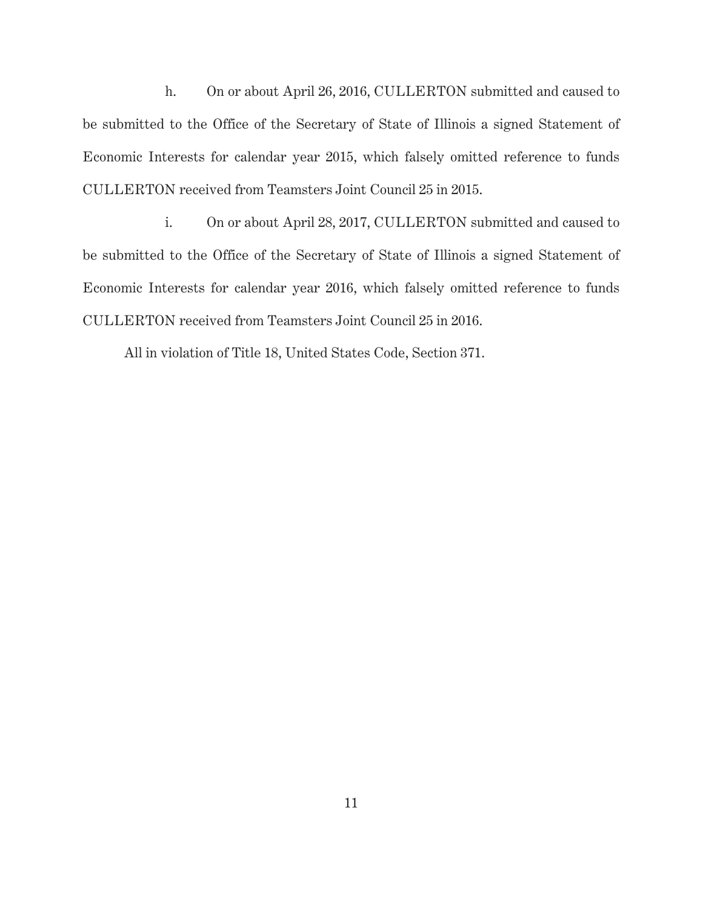h. On or about April 26, 2016, CULLERTON submitted and caused to be submitted to the Office of the Secretary of State of Illinois a signed Statement of Economic Interests for calendar year 2015, which falsely omitted reference to funds CULLERTON received from Teamsters Joint Council 25 in 2015.

 i. On or about April 28, 2017, CULLERTON submitted and caused to be submitted to the Office of the Secretary of State of Illinois a signed Statement of Economic Interests for calendar year 2016, which falsely omitted reference to funds CULLERTON received from Teamsters Joint Council 25 in 2016.

All in violation of Title 18, United States Code, Section 371.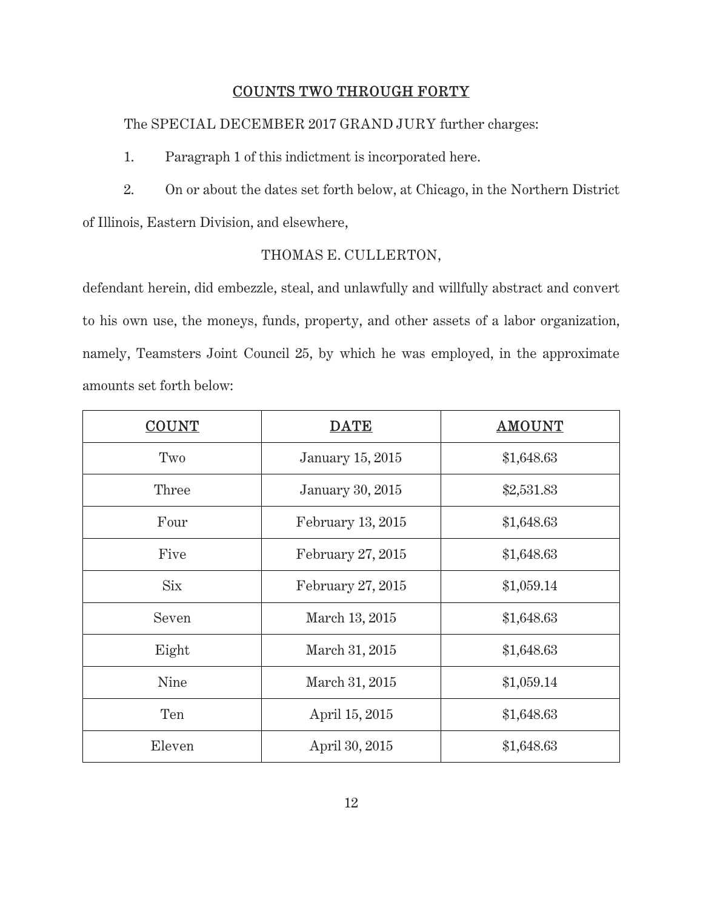# COUNTS TWO THROUGH FORTY

The SPECIAL DECEMBER 2017 GRAND JURY further charges:

1. Paragraph 1 of this indictment is incorporated here.

2. On or about the dates set forth below, at Chicago, in the Northern District of Illinois, Eastern Division, and elsewhere,

# THOMAS E. CULLERTON,

defendant herein, did embezzle, steal, and unlawfully and willfully abstract and convert to his own use, the moneys, funds, property, and other assets of a labor organization, namely, Teamsters Joint Council 25, by which he was employed, in the approximate amounts set forth below:

| <b>COUNT</b> | <b>DATE</b>             | <b>AMOUNT</b> |
|--------------|-------------------------|---------------|
| Two          | <b>January 15, 2015</b> | \$1,648.63    |
| Three        | <b>January 30, 2015</b> | \$2,531.83    |
| Four         | February 13, 2015       | \$1,648.63    |
| Five         | February 27, 2015       | \$1,648.63    |
| <b>Six</b>   | February 27, 2015       | \$1,059.14    |
| Seven        | March 13, 2015          | \$1,648.63    |
| Eight        | March 31, 2015          | \$1,648.63    |
| Nine         | March 31, 2015          | \$1,059.14    |
| Ten          | April 15, 2015          | \$1,648.63    |
| Eleven       | April 30, 2015          | \$1,648.63    |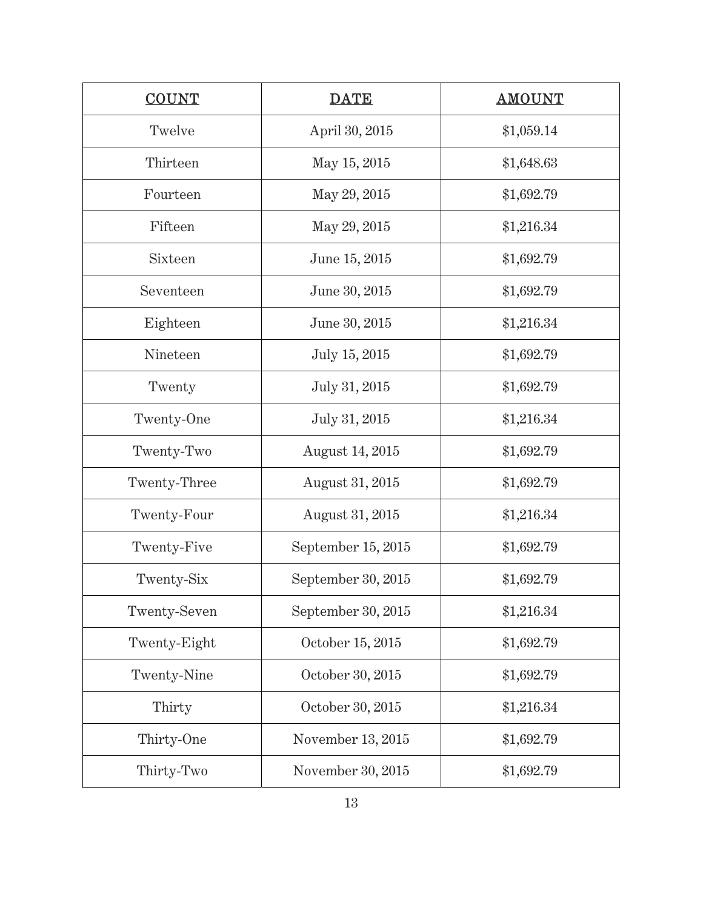| <b>COUNT</b> | <b>DATE</b>            | <b>AMOUNT</b> |
|--------------|------------------------|---------------|
| Twelve       | April 30, 2015         | \$1,059.14    |
| Thirteen     | May 15, 2015           | \$1,648.63    |
| Fourteen     | May 29, 2015           | \$1,692.79    |
| Fifteen      | May 29, 2015           | \$1,216.34    |
| Sixteen      | June 15, 2015          | \$1,692.79    |
| Seventeen    | June 30, 2015          | \$1,692.79    |
| Eighteen     | June 30, 2015          | \$1,216.34    |
| Nineteen     | July 15, 2015          | \$1,692.79    |
| Twenty       | July 31, 2015          | \$1,692.79    |
| Twenty-One   | July 31, 2015          | \$1,216.34    |
| Twenty-Two   | <b>August</b> 14, 2015 | \$1,692.79    |
| Twenty-Three | August 31, 2015        | \$1,692.79    |
| Twenty-Four  | August 31, 2015        | \$1,216.34    |
| Twenty-Five  | September 15, 2015     | \$1,692.79    |
| Twenty-Six   | September 30, 2015     | \$1,692.79    |
| Twenty-Seven | September 30, 2015     | \$1,216.34    |
| Twenty-Eight | October 15, 2015       | \$1,692.79    |
| Twenty-Nine  | October 30, 2015       | \$1,692.79    |
| Thirty       | October 30, 2015       | \$1,216.34    |
| Thirty-One   | November 13, 2015      | \$1,692.79    |
| Thirty-Two   | November 30, 2015      | \$1,692.79    |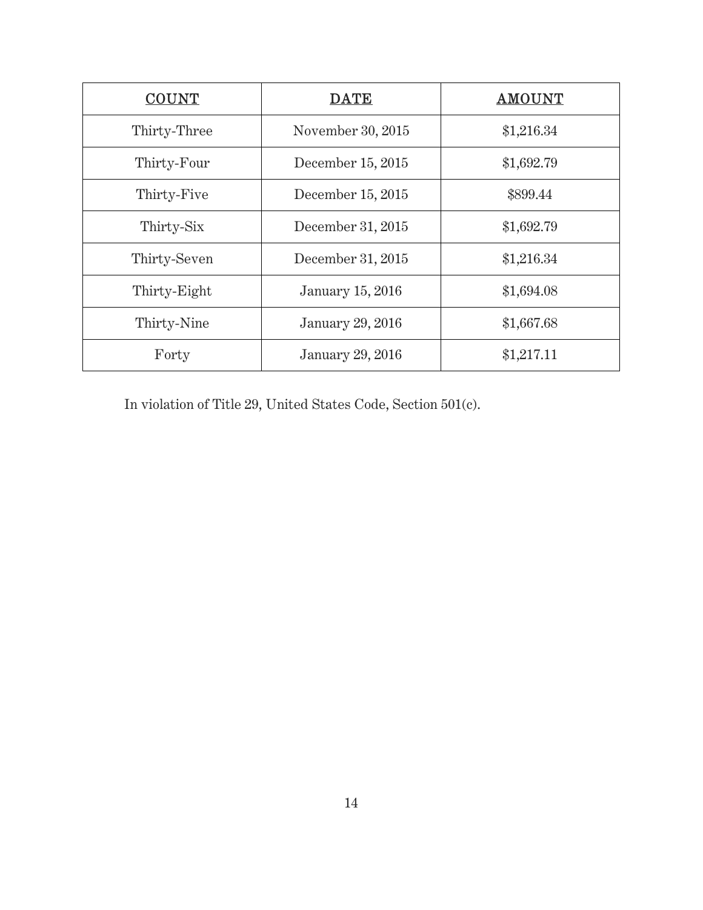| <b>COUNT</b> | <b>DATE</b>       | <b>AMOUNT</b> |
|--------------|-------------------|---------------|
| Thirty-Three | November 30, 2015 | \$1,216.34    |
| Thirty-Four  | December 15, 2015 | \$1,692.79    |
| Thirty-Five  | December 15, 2015 | \$899.44      |
| Thirty-Six   | December 31, 2015 | \$1,692.79    |
| Thirty-Seven | December 31, 2015 | \$1,216.34    |
| Thirty-Eight | January 15, 2016  | \$1,694.08    |
| Thirty-Nine  | January 29, 2016  | \$1,667.68    |
| Forty        | January 29, 2016  | \$1,217.11    |

In violation of Title 29, United States Code, Section 501(c).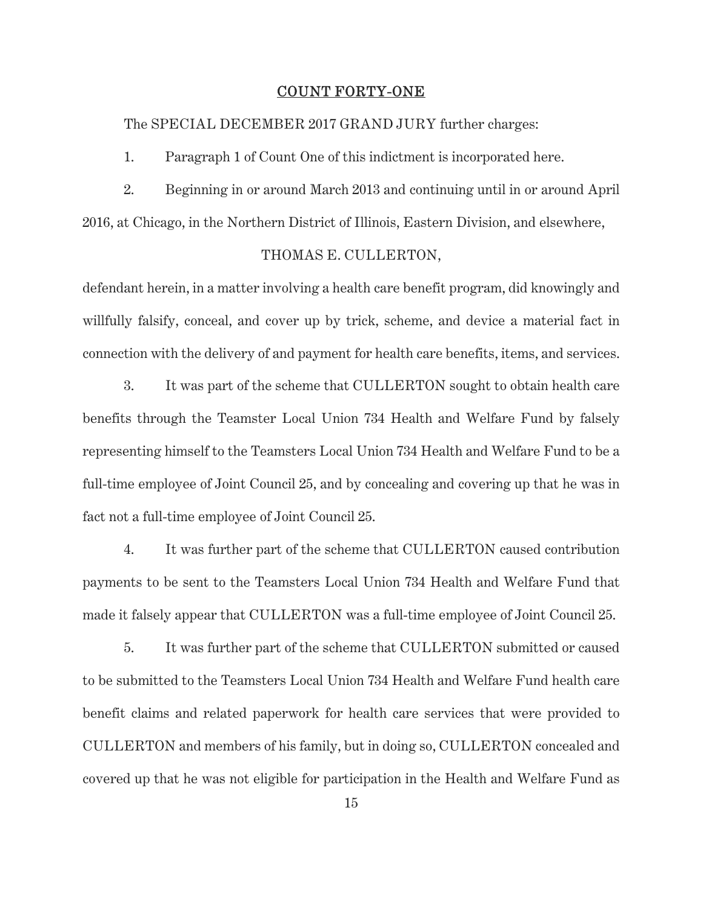### COUNT FORTY-ONE

The SPECIAL DECEMBER 2017 GRAND JURY further charges:

1. Paragraph 1 of Count One of this indictment is incorporated here.

2. Beginning in or around March 2013 and continuing until in or around April 2016, at Chicago, in the Northern District of Illinois, Eastern Division, and elsewhere,

### THOMAS E. CULLERTON,

defendant herein, in a matter involving a health care benefit program, did knowingly and willfully falsify, conceal, and cover up by trick, scheme, and device a material fact in connection with the delivery of and payment for health care benefits, items, and services.

 3. It was part of the scheme that CULLERTON sought to obtain health care benefits through the Teamster Local Union 734 Health and Welfare Fund by falsely representing himself to the Teamsters Local Union 734 Health and Welfare Fund to be a full-time employee of Joint Council 25, and by concealing and covering up that he was in fact not a full-time employee of Joint Council 25.

 4. It was further part of the scheme that CULLERTON caused contribution payments to be sent to the Teamsters Local Union 734 Health and Welfare Fund that made it falsely appear that CULLERTON was a full-time employee of Joint Council 25.

 5. It was further part of the scheme that CULLERTON submitted or caused to be submitted to the Teamsters Local Union 734 Health and Welfare Fund health care benefit claims and related paperwork for health care services that were provided to CULLERTON and members of his family, but in doing so, CULLERTON concealed and covered up that he was not eligible for participation in the Health and Welfare Fund as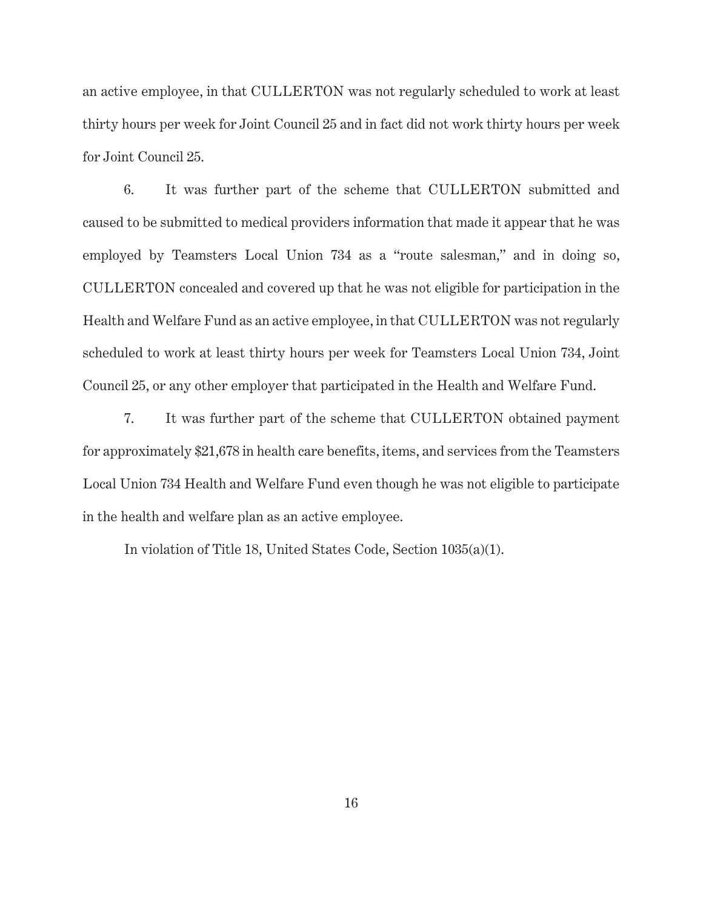an active employee, in that CULLERTON was not regularly scheduled to work at least thirty hours per week for Joint Council 25 and in fact did not work thirty hours per week for Joint Council 25.

 6. It was further part of the scheme that CULLERTON submitted and caused to be submitted to medical providers information that made it appear that he was employed by Teamsters Local Union 734 as a "route salesman," and in doing so, CULLERTON concealed and covered up that he was not eligible for participation in the Health and Welfare Fund as an active employee, in that CULLERTON was not regularly scheduled to work at least thirty hours per week for Teamsters Local Union 734, Joint Council 25, or any other employer that participated in the Health and Welfare Fund.

 7. It was further part of the scheme that CULLERTON obtained payment for approximately \$21,678 in health care benefits, items, and services from the Teamsters Local Union 734 Health and Welfare Fund even though he was not eligible to participate in the health and welfare plan as an active employee.

In violation of Title 18, United States Code, Section 1035(a)(1).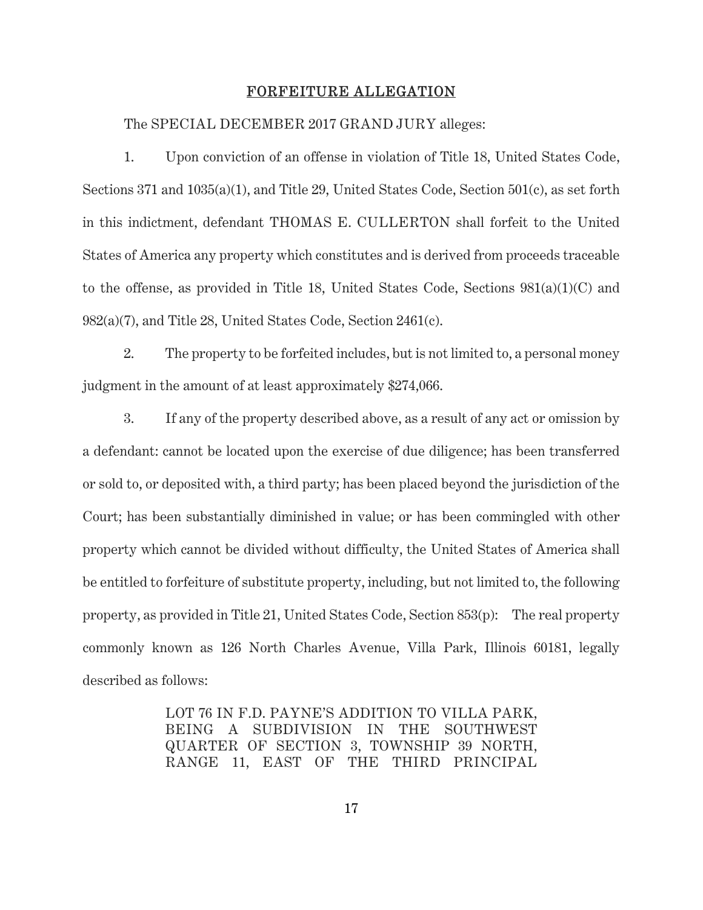### FORFEITURE ALLEGATION

#### The SPECIAL DECEMBER 2017 GRAND JURY alleges:

 1. Upon conviction of an offense in violation of Title 18, United States Code, Sections 371 and 1035(a)(1), and Title 29, United States Code, Section 501(c), as set forth in this indictment, defendant THOMAS E. CULLERTON shall forfeit to the United States of America any property which constitutes and is derived from proceeds traceable to the offense, as provided in Title 18, United States Code, Sections 981(a)(1)(C) and 982(a)(7), and Title 28, United States Code, Section 2461(c).

 2. The property to be forfeited includes, but is not limited to, a personal money judgment in the amount of at least approximately \$274,066.

 3. If any of the property described above, as a result of any act or omission by a defendant: cannot be located upon the exercise of due diligence; has been transferred or sold to, or deposited with, a third party; has been placed beyond the jurisdiction of the Court; has been substantially diminished in value; or has been commingled with other property which cannot be divided without difficulty, the United States of America shall be entitled to forfeiture of substitute property, including, but not limited to, the following property, as provided in Title 21, United States Code, Section 853(p): The real property commonly known as 126 North Charles Avenue, Villa Park, Illinois 60181, legally described as follows:

> LOT 76 IN F.D. PAYNE'S ADDITION TO VILLA PARK, BEING A SUBDIVISION IN THE SOUTHWEST QUARTER OF SECTION 3, TOWNSHIP 39 NORTH, RANGE 11, EAST OF THE THIRD PRINCIPAL